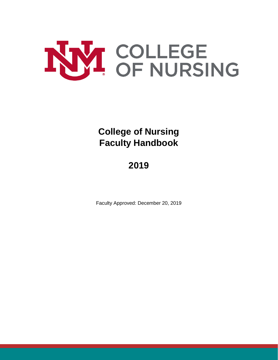

**College of Nursing Faculty Handbook**

# **2019**

Faculty Approved: December 20, 2019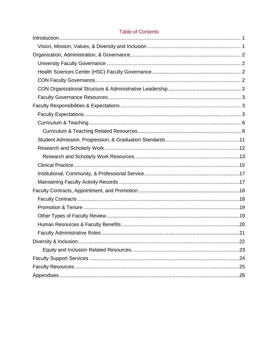# **Table of Contents**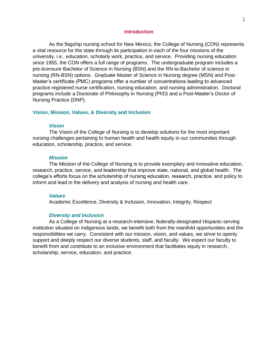### **Introduction**

<span id="page-2-0"></span>As the flagship nursing school for New Mexico, the College of Nursing (CON) represents a vital resource for the state through its participation in each of the four missions of the university, i.e., education, scholarly work, practice, and service. Providing nursing education since 1955, the CON offers a full range of programs. The undergraduate program includes a pre-licensure Bachelor of Science in Nursing (BSN) and the RN-to-Bachelor of science in nursing (RN-BSN) options. Graduate Master of Science in Nursing degree (MSN) and Post-Master's certificate (PMC) programs offer a number of concentrations leading to advanced practice registered nurse certification, nursing education, and nursing administration. Doctoral programs include a Doctorate of Philosophy in Nursing (PhD) and a Post-Master's Doctor of Nursing Practice (DNP).

### <span id="page-2-1"></span>**Vision, Mission, Values, & Diversity and Inclusion**

#### *Vision*

The Vision of the College of Nursing is to develop solutions for the most important nursing challenges pertaining to human health and health equity in our communities through education, scholarship, practice, and service.

#### *Mission*

The Mission of the College of Nursing is to provide exemplary and innovative education, research, practice, service, and leadership that improve state, national, and global health. The college's efforts focus on the scholarship of nursing education, research, practice, and policy to inform and lead in the delivery and analysis of nursing and health care.

#### *Values*

Academic Excellence, Diversity & Inclusion, Innovation, Integrity, Respect

### *Diversity and Inclusion*

As a College of Nursing at a research-intensive, federally-designated Hispanic-serving institution situated on indigenous lands, we benefit both from the manifold opportunities and the responsibilities we carry. Consistent with our mission, vision, and values, we strive to openly support and deeply respect our diverse students, staff, and faculty. We expect our faculty to benefit from and contribute to an inclusive environment that facilitates equity in research, scholarship, service, education, and practice.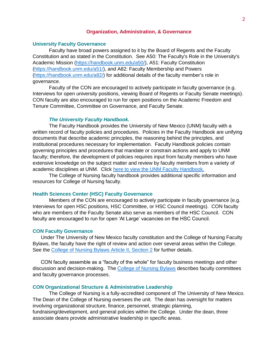# **Organization, Administration, & Governance**

#### <span id="page-3-1"></span><span id="page-3-0"></span>**University Faculty Governance**

Faculty have broad powers assigned to it by the Board of Regents and the Faculty Constitution and as stated in the Constitution. See A50: The Faculty's Role in the University's Academic Mission [\(https://handbook.unm.edu/a50/\)](https://handbook.unm.edu/a50/), A51: Faculty Constitution [\(https://handbook.unm.edu/a51/\)](https://handbook.unm.edu/a51/), and A82: Faculty Membership and Powers [\(https://handbook.unm.edu/a82/\)](https://handbook.unm.edu/a82/) for additional details of the faculty member's role in governance.

Faculty of the CON are encouraged to actively participate in faculty governance (e.g. Interviews for open university positions, viewing Board of Regents or Faculty Senate meetings). CON faculty are also encouraged to run for open positions on the Academic Freedom and Tenure Committee, Committee on Governance, and Faculty Senate.

### *The University Faculty Handbook.*

The Faculty Handbook provides the University of New Mexico (UNM) faculty with a written record of faculty policies and procedures. Policies in the Faculty Handbook are unifying documents that describe academic principles, the reasoning behind the principles, and institutional procedures necessary for implementation. Faculty Handbook policies contain governing principles and procedures that mandate or constrain actions and apply to UNM faculty; therefore, the development of policies requires input from faculty members who have extensive knowledge on the subject matter and review by faculty members from a variety of academic disciplines at UNM. Click [here to view the UNM Faculty Handbook.](http://handbook.unm.edu/)

The College of Nursing faculty handbook provides additional specific information and resources for College of Nursing faculty.

### <span id="page-3-2"></span>**Health Sciences Center (HSC) Faculty Governance**

Members of the CON are encouraged to actively participate in faculty governance (e.g. Interviews for open HSC positions, HSC Committee, or HSC Council meetings). CON faculty who are members of the Faculty Senate also serve as members of the HSC Council. CON faculty are encouraged to run for open 'At Large' vacancies on the HSC Council.

#### <span id="page-3-3"></span>**CON Faculty Governance**

Under The University of New Mexico faculty constitution and the College of Nursing Faculty Bylaws, the faculty have the right of review and action over several areas within the College. See the [College of Nursing Bylaws Article II, Section 2](https://app.box.com/s/92w8htzq7i6s6w5x1vx6eie8hr9wy6s3/file/277727745400) for further details.

CON faculty assemble as a "faculty of the whole" for faculty business meetings and other discussion and decision-making. The [College of Nursing Bylaws](https://app.box.com/s/92w8htzq7i6s6w5x1vx6eie8hr9wy6s3/file/277727745400) describes faculty committees and faculty governance processes.

#### <span id="page-3-4"></span>**CON Organizational Structure & Administrative Leadership**

The College of Nursing is a fully-accredited component of The University of New Mexico. The Dean of the College of Nursing oversees the unit. The dean has oversight for matters involving organizational structure, finance, personnel, strategic planning, fundraising/development, and general policies within the College. Under the dean, three associate deans provide administrative leadership in specific areas.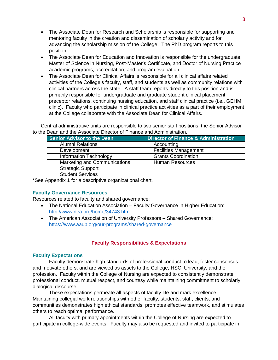- The Associate Dean for Research and Scholarship is responsible for supporting and mentoring faculty in the creation and dissemination of scholarly activity and for advancing the scholarship mission of the College. The PhD program reports to this position.
- The Associate Dean for Education and Innovation is responsible for the undergraduate, Master of Science in Nursing, Post-Master's Certificate, and Doctor of Nursing Practice academic programs; accreditation; and program evaluation.
- The Associate Dean for Clinical Affairs is responsible for all clinical affairs related activities of the College's faculty, staff, and students as well as community relations with clinical partners across the state. A staff team reports directly to this position and is primarily responsible for undergraduate and graduate student clinical placement, preceptor relations, continuing nursing education, and staff clinical practice (i.e., GEHM clinic). Faculty who participate in clinical practice activities as a part of their employment at the College collaborate with the Associate Dean for Clinical Affairs.

Central administrative units are responsible to two senior staff positions, the Senior Advisor to the Dean and the Associate Director of Finance and Administration.

| <b>Senior Advisor to the Dean</b> | <b>Director of Finance &amp; Administration</b> |
|-----------------------------------|-------------------------------------------------|
| <b>Alumni Relations</b>           | Accounting                                      |
| Development                       | <b>Facilities Management</b>                    |
| <b>Information Technology</b>     | <b>Grants Coordination</b>                      |
| Marketing and Communications      | <b>Human Resources</b>                          |
| <b>Strategic Support</b>          |                                                 |
| <b>Student Services</b>           |                                                 |

\*See Appendix 1 for a descriptive organizational chart.

# <span id="page-4-0"></span>**Faculty Governance Resources**

Resources related to faculty and shared governance:

- The National Education Association Faculty Governance in Higher Education: [http://www.nea.org/home/34743.htm.](http://www.nea.org/home/34743.htm)
- The American Association of University Professors Shared Governance: <https://www.aaup.org/our-programs/shared-governance>

# **Faculty Responsibilities & Expectations**

# <span id="page-4-2"></span><span id="page-4-1"></span>**Faculty Expectations**

Faculty demonstrate high standards of professional conduct to lead, foster consensus, and motivate others, and are viewed as assets to the College, HSC, University, and the profession. Faculty within the College of Nursing are expected to consistently demonstrate professional conduct, mutual respect, and courtesy while maintaining commitment to scholarly dialogical discourse.

These expectations permeate all aspects of faculty life and mark excellence. Maintaining collegial work relationships with other faculty, students, staff, clients, and communities demonstrates high ethical standards, promotes effective teamwork, and stimulates others to reach optimal performance.

All faculty with primary appointments within the College of Nursing are expected to participate in college-wide events. Faculty may also be requested and invited to participate in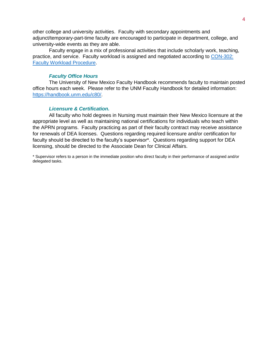other college and university activities. Faculty with secondary appointments and adjunct/temporary-part-time faculty are encouraged to participate in department, college, and university-wide events as they are able.

Faculty engage in a mix of professional activities that include scholarly work, teaching, practice, and service. Faculty workload is assigned and negotiated according to [CON-302:](https://app.box.com/s/92w8htzq7i6s6w5x1vx6eie8hr9wy6s3/file/277741003753)  [Faculty Workload Procedure.](https://app.box.com/s/92w8htzq7i6s6w5x1vx6eie8hr9wy6s3/file/277741003753)

### *Faculty Office Hours*

The University of New Mexico Faculty Handbook recommends faculty to maintain posted office hours each week. Please refer to the UNM Faculty Handbook for detailed information: [https://handbook.unm.edu/c80/.](https://handbook.unm.edu/c80/)

### *Licensure & Certification.*

All faculty who hold degrees in Nursing must maintain their New Mexico licensure at the appropriate level as well as maintaining national certifications for individuals who teach within the APRN programs. Faculty practicing as part of their faculty contract may receive assistance for renewals of DEA licenses. Questions regarding required licensure and/or certification for faculty should be directed to the faculty's supervisor\*. Questions regarding support for DEA licensing, should be directed to the Associate Dean for Clinical Affairs.

\* Supervisor refers to a person in the immediate position who direct faculty in their performance of assigned and/or delegated tasks.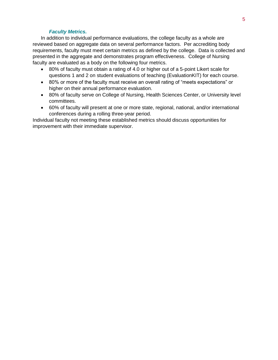# *Faculty Metrics.*

In addition to individual performance evaluations, the college faculty as a whole are reviewed based on aggregate data on several performance factors. Per accrediting body requirements, faculty must meet certain metrics as defined by the college. Data is collected and presented in the aggregate and demonstrates program effectiveness. College of Nursing faculty are evaluated as a body on the following four metrics.

- 80% of faculty must obtain a rating of 4.0 or higher out of a 5-point Likert scale for questions 1 and 2 on student evaluations of teaching (EvaluationKIT) for each course.
- 80% or more of the faculty must receive an overall rating of "meets expectations" or higher on their annual performance evaluation.
- 80% of faculty serve on College of Nursing, Health Sciences Center, or University level committees.
- 60% of faculty will present at one or more state, regional, national, and/or international conferences during a rolling three-year period.

Individual faculty not meeting these established metrics should discuss opportunities for improvement with their immediate supervisor.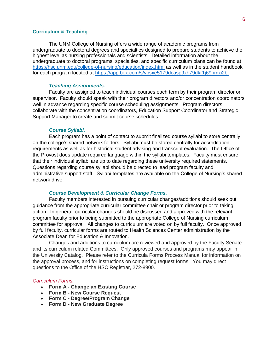# <span id="page-7-0"></span>**Curriculum & Teaching**

The UNM College of Nursing offers a wide range of academic programs from undergraduate to doctoral degrees and specialties designed to prepare students to achieve the highest level as nursing professionals and scientists. Detailed information about the undergraduate to doctoral programs, specialties, and specific curriculum plans can be found at <https://hsc.unm.edu/college-of-nursing/education/index.html> as well as in the student handbook for each program located at [https://app.box.com/s/vbsxe5179dcasp9xh79dkr1j69nmxi2b.](https://app.box.com/s/vbsxe5179dcasp9xh79dkr1j69nmxi2b)

# *Teaching Assignments.*

Faculty are assigned to teach individual courses each term by their program director or supervisor. Faculty should speak with their program directors and/or concentration coordinators well in advance regarding specific course scheduling assignments.Program directors collaborate with the concentration coordinators, Education Support Coordinator and Strategic Support Manager to create and submit course schedules.

#### *Course Syllabi.*

Each program has a point of contact to submit finalized course syllabi to store centrally on the college's shared network folders. Syllabi must be stored centrally for accreditation requirements as well as for historical student advising and transcript evaluation. The Office of the Provost does update required language within the syllabi templates. Faculty must ensure that their individual syllabi are up to date regarding these university required statements. Questions regarding course syllabi should be directed to lead program faculty and administrative support staff. Syllabi templates are available on the College of Nursing's shared network drive.

# *Course Development & Curricular Change Forms.*

Faculty members interested in pursuing curricular changes/additions should seek out guidance from the appropriate curricular committee chair or program director prior to taking action. In general, curricular changes should be discussed and approved with the relevant program faculty prior to being submitted to the appropriate College of Nursing curriculum committee for approval. All changes to curriculum are voted on by full faculty. Once approved by full faculty, curricular forms are routed to Health Sciences Center administration by the Associate Dean for Education & Innovation.

Changes and additions to curriculum are reviewed and approved by the Faculty Senate and its curriculum related Committees. Only approved courses and programs may appear in the University Catalog. Please refer to the Curricula Forms Process Manual for information on the approval process, and for instructions on completing request forms. You may direct questions to the Office of the HSC Registrar, 272-8900.

### *Curriculum Forms:*

- **Form A - Change an Existing Course**
- **Form B - New Course Request**
- **Form C - Degree/Program Change**
- **Form D - New Graduate Degree**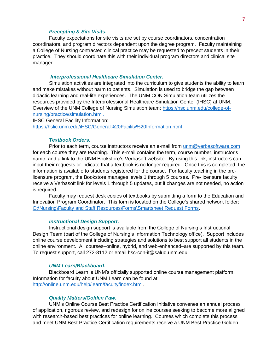#### *Precepting & Site Visits.*

Faculty expectations for site visits are set by course coordinators, concentration coordinators, and program directors dependent upon the degree program. Faculty maintaining a College of Nursing contracted clinical practice may be requested to precept students in their practice. They should coordinate this with their individual program directors and clinical site manager.

#### *Interprofessional Healthcare Simulation Center.*

Simulation activities are integrated into the curriculum to give students the ability to learn and make mistakes without harm to patients. Simulation is used to bridge the gap between didactic learning and real-life experiences. The UNM CON Simulation team utilizes the resources provided by the Interprofessional Healthcare Simulation Center (IHSC) at UNM. Overview of the UNM College of Nursing Simulation team: [https://hsc.unm.edu/college-of](https://hsc.unm.edu/college-of-nursing/practice/simulation.html)[nursing/practice/simulation.html.](https://hsc.unm.edu/college-of-nursing/practice/simulation.html)

IHSC General Facility Information:

<https://hslic.unm.edu/iHSC/General%20Facility%20Information.html>

# *Textbook Orders.*

Prior to each term, course instructors receive an e-mail from [unm@verbasoftware.com](mailto:unm@verbasoftware.com) for each course they are teaching. This e-mail contains the term, course number, instructor's name, and a link to the UNM Bookstore's Verbasoft website. By using this link, instructors can input their requests or indicate that a textbook is no longer required. Once this is completed, the information is available to students registered for the course. For faculty teaching in the prelicensure program, the Bookstore manages levels 1 through 5 courses. Pre-licensure faculty receive a Verbasoft link for levels 1 through 5 updates, but if changes are not needed, no action is required.

Faculty may request desk copies of textbooks by submitting a form to the Education and Innovation Program Coordinator. This form is located on the College's shared network folder: [O:\Nursing\Faculty and Staff Resources\Forms\Smartsheet Request Forms.](file://///health.unm.edu/hsc_departments/Nursing/Faculty%20and%20Staff%20Resources/Forms/Smartsheet%20Request%20Forms)

#### *Instructional Design Support.*

Instructional design support is available from the College of Nursing's Instructional Design Team (part of the College of Nursing's Information Technology office). Support includes online course development including strategies and solutions to best support all students in the online environment. All courses–online, hybrid, and web-enhanced–are supported by this team. To request support, call 272-8112 or email hsc-con-it@salud.unm.edu.

### *UNM Learn/Blackboard.*

Blackboard Learn is UNM's officially supported online course management platform. Information for faculty about UNM Learn can be found at [http://online.unm.edu/help/learn/faculty/index.html.](http://online.unm.edu/help/learn/faculty/index.html)

# *Quality Matters/Golden Paw.*

UNM's Online Course Best Practice Certification Initiative convenes an annual process of application, rigorous review, and redesign for online courses seeking to become more aligned with research-based best practices for online learning. Courses which complete this process and meet UNM Best Practice Certification requirements receive a UNM Best Practice Golden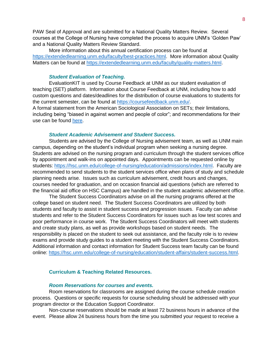PAW Seal of Approval and are submitted for a National Quality Matters Review. Several courses at the College of Nursing have completed the process to acquire UNM's 'Golden Paw' and a National Quality Matters Review Standard.

More information about this annual certification process can be found at [https://extendedlearning.unm.edu/faculty/best-practices.html.](https://extendedlearning.unm.edu/faculty/best-practices.html) More information about Quality Matters can be found at [https://extendedlearning.unm.edu/faculty/quality-matters.html.](https://extendedlearning.unm.edu/faculty/quality-matters.html)

#### *Student Evaluation of Teaching.*

EvaluationKIT is used by Course Feedback at UNM as our student evaluation of teaching (SET) platform. Information about Course Feedback at UNM, including how to add custom questions and dates/deadlines for the distribution of course evaluations to students for the current semester, can be found at [https://coursefeedback.unm.edu/.](https://coursefeedback.unm.edu/) A formal statement from the American Sociological Association on SETs; their limitations, including being "biased in against women and people of color"; and recommendations for their

use can be found [here.](https://www.asanet.org/sites/default/files/asa_statement_on_student_evaluations_of_teaching_sept52019.pdf)

# *Student Academic Advisement and Student Success.*

Students are advised by the College of Nursing advisement team, as well as UNM main campus, depending on the student's individual program when seeking a nursing degree. Students are advised on the nursing program and curriculum through the student services office by appointment and walk-ins on appointed days. Appointments can be requested online by students: [https://hsc.unm.edu/college-of-nursing/education/admissions/index.html.](https://hsc.unm.edu/college-of-nursing/education/admissions/index.html) Faculty are recommended to send students to the student services office when plans of study and schedule planning needs arise. Issues such as curriculum advisement, credit hours and changes, courses needed for graduation, and on occasion financial aid questions (which are referred to the financial aid office on HSC Campus) are handled in the student academic advisement office.

The Student Success Coordinators advise on all the nursing programs offered at the college based on student need. The Student Success Coordinators are utilized by both students and faculty to assist in student success and progression issues. Faculty can advise students and refer to the Student Success Coordinators for issues such as low test scores and poor performance in course work. The Student Success Coordinators will meet with students and create study plans, as well as provide workshops based on student needs. The responsibility is placed on the student to seek out assistance, and the faculty role is to review exams and provide study guides to a student meeting with the Student Success Coordinators. Additional information and contact information for Student Success team faculty can be found online: [https://hsc.unm.edu/college-of-nursing/education/student-affairs/student-success.html.](https://hsc.unm.edu/college-of-nursing/education/student-affairs/student-success.html)

#### <span id="page-9-0"></span>**Curriculum & Teaching Related Resources.**

#### *Room Reservations for courses and events.*

Room reservations for classrooms are assigned during the course schedule creation process. Questions or specific requests for course scheduling should be addressed with your program director or the Education Support Coordinator.

Non-course reservations should be made at least 72 business hours in advance of the event. Please allow 24 business hours from the time you submitted your request to receive a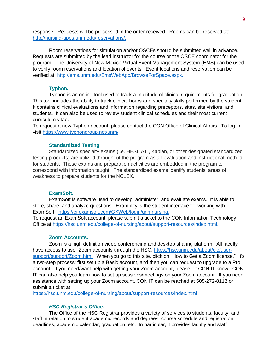response. Requests will be processed in the order received. Rooms can be reserved at: [http://nursing-apps.unm.edu/reservations/.](http://nursing-apps.unm.edu/reservations/)

Room reservations for simulation and/or OSCEs should be submitted well in advance. Requests are submitted by the lead instructor for the course or the OSCE coordinator for the program. The University of New Mexico Virtual Event Management System (EMS) can be used to verify room reservations and location of events. Event locations and reservation can be verified at: [http://ems.unm.edu/EmsWebApp/BrowseForSpace.aspx.](http://ems.unm.edu/EmsWebApp/BrowseForSpace.aspx)

# **Typhon.**

Typhon is an online tool used to track a multitude of clinical requirements for graduation. This tool includes the ability to track clinical hours and specialty skills performed by the student. It contains clinical evaluations and information regarding preceptors, sites, site visitors, and students. It can also be used to review student clinical schedules and their most current curriculum vitae.

To request a new Typhon account, please contact the CON Office of Clinical Affairs. To log in, visit<https://www.typhongroup.net/unm/>

#### **Standardized Testing**

Standardized specialty exams (i.e. HESI, ATI, Kaplan, or other designated standardized testing products) are utilized throughout the program as an evaluation and instructional method for students. These exams and preparation activities are embedded in the program to correspond with information taught. The standardized exams identify students' areas of weakness to prepare students for the NCLEX.

### **ExamSoft.**

ExamSoft is software used to develop, administer, and evaluate exams. It is able to store, share, and analyze questions. Examplify is the student interface for working with ExamSoft. [https://ei.examsoft.com/GKWeb/login/unmnursing.](https://ei.examsoft.com/GKWeb/login/unmnursing)

To request an ExamSoft account, please submit a ticket to the CON Information Technology Office at [https://hsc.unm.edu/college-of-nursing/about/support-resources/index.html.](https://hsc.unm.edu/college-of-nursing/about/support-resources/index.html)

# **Zoom Accounts.**

Zoom is a high definition video conferencing and desktop sharing platform. All faculty have access to user Zoom accounts through the HSC, [https://hsc.unm.edu/about/cio/user](https://hsc.unm.edu/about/cio/user-support/support/Zoom.html)[support/support/Zoom.html.](https://hsc.unm.edu/about/cio/user-support/support/Zoom.html) When you go to this site, click on "How to Get a Zoom license." It's a two-step process: first set up a Basic account, and then you can request to upgrade to a Pro account. If you need/want help with getting your Zoom account, please let CON IT know. CON IT can also help you learn how to set up sessions/meetings on your Zoom account. If you need assistance with setting up your Zoom account, CON IT can be reached at 505-272-8112 or submit a ticket at

<https://hsc.unm.edu/college-of-nursing/about/support-resources/index.html>

## *HSC Registrar's Office.*

The Office of the HSC Registrar provides a variety of services to students, faculty, and staff in relation to student academic records and degrees, course schedule and registration deadlines, academic calendar, graduation, etc. In particular, it provides faculty and staff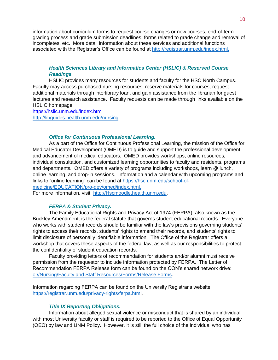information about curriculum forms to request course changes or new courses, end-of-term grading process and grade submission deadlines, forms related to grade change and removal of incompletes, etc. More detail information about these services and additional functions associated with the Registrar's Office can be found at [http://registrar.unm.edu/index.html.](http://registrar.unm.edu/index.html)

# *Health Sciences Library and Informatics Center (HSLIC) & Reserved Course Readings.*

HSLIC provides many resources for students and faculty for the HSC North Campus. Faculty may access purchased nursing resources, reserve materials for courses, request additional materials through interlibrary loan, and gain assistance from the librarian for guest lectures and research assistance. Faculty requests can be made through links available on the HSLIC homepage.

<https://hslic.unm.edu/index.html> <http://libguides.health.unm.edu/nursing>

# *Office for Continuous Professional Learning.*

As a part of the Office for Continuous Professional Learning, the mission of the Office for Medical Educator Development (OMED) is to guide and support the professional development and advancement of medical educators. OMED provides workshops, online resources, individual consultation, and customized learning opportunities to faculty and residents, programs and departments. OMED offers a variety of programs including workshops, learn @ lunch, online learning, and drop-in sessions. Information and a calendar with upcoming programs and links to "online learning" can be found at [https://hsc.unm.edu/school-of](https://hsc.unm.edu/school-of-medicine/EDUCATION/pro-dev/omed/index.html)[medicine/EDUCATION/pro-dev/omed/index.html.](https://hsc.unm.edu/school-of-medicine/EDUCATION/pro-dev/omed/index.html)

For more information, visit: [http://Hscmoodle.health.unm.edu.](http://hscmoodle.health.unm.edu/)

# *FERPA & Student Privacy.*

The Family Educational Rights and Privacy Act of 1974 (FERPA), also known as the Buckley Amendment, is the federal statute that governs student educational records. Everyone who works with student records should be familiar with the law's provisions governing students' rights to access their records, students' rights to amend their records, and students' rights to limit disclosure of personally identifiable information. The Office of the Registrar offers a workshop that covers these aspects of the federal law, as well as our responsibilities to protect the confidentiality of student education records.

Faculty providing letters of recommendation for students and/or alumni must receive permission from the requestor to include information protected by FERPA. The Letter of Recommendation FERPA Release form can be found on the CON's shared network drive: [o://Nursing/Faculty and Staff Resources/Forms/Release Forms.](file://///health.unm.edu/hsc_departments/Nursing/Faculty%20and%20Staff%20Resources/Forms/Release%20Forms)

Information regarding FERPA can be found on the University Registrar's website: [https://registrar.unm.edu/privacy-rights/ferpa.html.](https://registrar.unm.edu/privacy-rights/ferpa.html)

# *Title IX Reporting Obligations.*

Information about alleged sexual violence or misconduct that is shared by an individual with most University faculty or staff is required to be reported to the Office of Equal Opportunity (OEO) by law and UNM Policy. However, it is still the full choice of the individual who has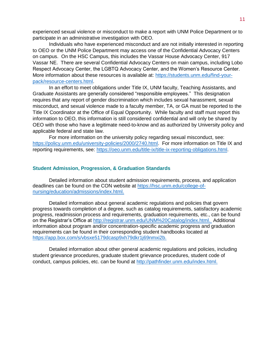experienced sexual violence or misconduct to make a report with UNM Police Department or to participate in an administrative investigation with OEO.

Individuals who have experienced misconduct and are not initially interested in reporting to OEO or the UNM Police Department may access one of the Confidential Advocacy Centers on campus. On the HSC Campus, this includes the Vassar House Advocacy Center, 917 Vassar NE. There are several Confidential Advocacy Centers on main campus, including Lobo Respect Advocacy Center, the LGBTQ Advocacy Center, and the Women's Resource Center. More information about these resources is available at: [https://students.unm.edu/find-your](https://students.unm.edu/find-your-pack/resource-centers.html)[pack/resource-centers.html.](https://students.unm.edu/find-your-pack/resource-centers.html)

In an effort to meet obligations under Title IX, UNM faculty, Teaching Assistants, and Graduate Assistants are generally considered "responsible employees." This designation requires that any report of gender discrimination which includes sexual harassment, sexual misconduct, and sexual violence made to a faculty member, TA, or GA must be reported to the Title IX Coordinator at the Office of Equal Opportunity. While faculty and staff must report this information to OEO, this information is still considered confidential and will only be shared by OEO with those who have a legitimate need-to-know and as authorized by University policy and applicable federal and state law.

For more information on the university policy regarding sexual misconduct, see: [https://policy.unm.edu/university-policies/2000/2740.html.](https://policy.unm.edu/university-policies/2000/2740.html) For more information on Title IX and reporting requirements, see: [https://oeo.unm.edu/title-ix/title-ix-reporting-obligations.html.](https://oeo.unm.edu/title-ix/title-ix-reporting-obligations.html)

# <span id="page-12-0"></span>**Student Admission, Progression, & Graduation Standards**

Detailed information about student admission requirements, process, and application deadlines can be found on the CON website at [https://hsc.unm.edu/college-of](https://hsc.unm.edu/college-of-nursing/education/admissions/index.html)[nursing/education/admissions/index.html.](https://hsc.unm.edu/college-of-nursing/education/admissions/index.html)

Detailed information about general academic regulations and policies that govern progress towards completion of a degree, such as catalog requirements, satisfactory academic progress, readmission process and requirements, graduation requirements, etc., can be found on the Registrar's Office at [http://registrar.unm.edu/UNM%20Catalog/index.html.](http://registrar.unm.edu/UNM%20Catalog/index.html) Additional information about program and/or concentration-specific academic progress and graduation requirements can be found in their corresponding student handbooks located at [https://app.box.com/s/vbsxe5179dcasp9xh79dkr1j69nmxi2b.](https://app.box.com/s/vbsxe5179dcasp9xh79dkr1j69nmxi2b)

Detailed information about other general academic regulations and policies, including student grievance procedures, graduate student grievance procedures, student code of conduct, campus policies, etc. can be found at [http://pathfinder.unm.edu/index.html.](http://pathfinder.unm.edu/index.html)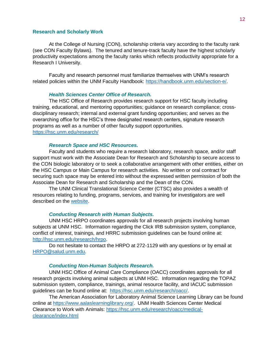### <span id="page-13-0"></span>**Research and Scholarly Work**

At the College of Nursing (CON), scholarship criteria vary according to the faculty rank (see CON Faculty Bylaws). The tenured and tenure-track faculty have the highest scholarly productivity expectations among the faculty ranks which reflects productivity appropriate for a Research I University.

Faculty and research personnel must familiarize themselves with UNM's research related policies within the UNM Faculty Handbook: [https://handbook.unm.edu/section-e/.](https://handbook.unm.edu/section-e/)

#### *Health Sciences Center Office of Research.*

The HSC Office of Research provides research support for HSC faculty including training, educational, and mentoring opportunities; guidance on research compliance; crossdisciplinary research; internal and external grant funding opportunities; and serves as the overarching office for the HSC's three designated research centers, signature research programs as well as a number of other faculty support opportunities. <https://hsc.unm.edu/research/>

# *Research Space and HSC Resources.*

Faculty and students who require a research laboratory, research space, and/or staff support must work with the Associate Dean for Research and Scholarship to secure access to the CON biologic laboratory or to seek a collaborative arrangement with other entities, either on the HSC Campus or Main Campus for research activities. No written or oral contract for securing such space may be entered into without the expressed written permission of both the Associate Dean for Research and Scholarship and the Dean of the CON.

The UNM Clinical Translational Science Center (CTSC) also provides a wealth of resources relating to funding, programs, services, and training for investigators are well described on the [website.](https://hsc.unm.edu/research/ctsc/index.html)

#### *Conducting Research with Human Subjects.*

UNM HSC HRPO coordinates approvals for all research projects involving human subjects at UNM HSC. Information regarding the Click IRB submission system, compliance, conflict of interest, trainings, and HRRC submission guidelines can be found online at: [http://hsc.unm.edu/research/hrpo.](http://hsc.unm.edu/research/hrpo)

Do not hesitate to contact the HRPO at 272-1129 with any questions or by email at [HRPO@salud.unm.edu.](mailto:HRPO@salud.unm.edu)

### *Conducting Non-Human Subjects Research.*

UNM HSC Office of Animal Care Compliance (OACC) coordinates approvals for all research projects involving animal subjects at UNM HSC. Information regarding the TOPAZ submission system, compliance, trainings, animal resource facility, and IACUC submission guidelines can be found online at: [https://hsc.unm.edu/research/oacc/.](https://hsc.unm.edu/research/oacc/)

The American Association for Laboratory Animal Science Learning Library can be found online at [https://www.aalaslearninglibrary.org/.](https://www.aalaslearninglibrary.org/) UNM Health Sciences Center Medical Clearance to Work with Animals: [https://hsc.unm.edu/research/oacc/medical](https://hsc.unm.edu/research/oacc/medical-clearance/index.html)[clearance/index.html](https://hsc.unm.edu/research/oacc/medical-clearance/index.html)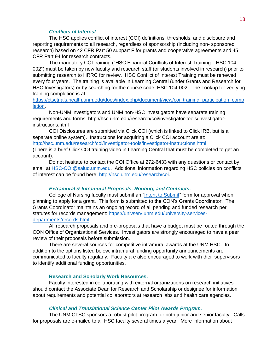# *Conflicts of Interest*

The HSC applies conflict of interest (COI) definitions, thresholds, and disclosure and reporting requirements to all research, regardless of sponsorship (including non- sponsored research) based on 42 CFR Part 50 subpart F for grants and cooperative agreements and 45 CFR Part 94 for research contracts.

The mandatory COI training ("HSC Financial Conflicts of Interest Training—HSC 104- 002") must be taken by new faculty and research staff (or students involved in research) prior to submitting research to HRRC for review. HSC Conflict of Interest Training must be renewed every four years. The training is available in Learning Central (under Grants and Research for HSC Investigators) or by searching for the course code, HSC 104-002. The Lookup for verifying training completion is at:

[https://ctsctrials.health.unm.edu/docs/index.php/document/view/coi\\_training\\_participation\\_comp](https://ctsctrials.health.unm.edu/docs/index.php/document/view/coi_training_participation_completion) [letion.](https://ctsctrials.health.unm.edu/docs/index.php/document/view/coi_training_participation_completion)

Non-UNM investigators and UNM non-HSC investigators have separate training requirements and forms: http://hsc.unm.edu/research/coi/investigator-tools/investigatorinstructions.html

COI Disclosures are submitted via Click COI (which is linked to Click IRB, but is a separate online system). Instructions for acquiring a Click COI account are at: <http://hsc.unm.edu/research/coi/investigator-tools/investigator-instructions.html> (There is a brief Click COI training video in Learning Central that must be completed to get an

account).

Do not hesitate to contact the COI Office at 272-6433 with any questions or contact by email at [HSC-COI@salud.unm.edu.](mailto:HSC-COI@salud.unm.edu) Additional information regarding HSC policies on conflicts of interest can be found here: [http://hsc.unm.edu/research/coi.](http://hsc.unm.edu/research/coi)

#### *Extramural & Intramural Proposals, Routing, and Contracts.*

College of Nursing faculty must submit an ["Intent to Submit"](file://///health.unm.edu/hsc_departments/Nursing/Faculty%20and%20Staff%20Resources/Faculty%20Resources/Intent%20to%20Submit) form for approval when planning to apply for a grant. This form is submitted to the CON's Grants Coordinator. The Grants Coordinator maintains an ongoing record of all pending and funded research per statutes for records management: [https://univserv.unm.edu/university-services](https://univserv.unm.edu/university-services-departments/records.html)[departments/records.html.](https://univserv.unm.edu/university-services-departments/records.html)

All research proposals and pre-proposals that have a budget must be routed through the CON Office of Organizational Services. Investigators are strongly encouraged to have a peer review of their proposals before submission.

There are several sources for competitive intramural awards at the UNM HSC. In addition to the options listed below, intramural funding opportunity announcements are communicated to faculty regularly. Faculty are also encouraged to work with their supervisors to identify additional funding opportunities.

#### **Research and Scholarly Work Resources.**

<span id="page-14-0"></span>Faculty interested in collaborating with external organizations on research initiatives should contact the Associate Dean for Research and Scholarship or designee for information about requirements and potential collaborators at research labs and health care agencies.

#### *Clinical and Translational Science Center Pilot Awards Program.*

The UNM CTSC sponsors a robust pilot program for both junior and senior faculty. Calls for proposals are e-mailed to all HSC faculty several times a year. More information about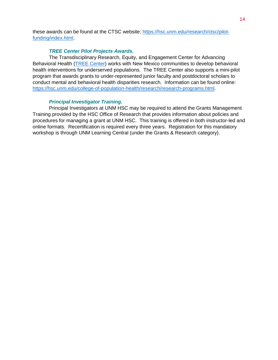these awards can be found at the CTSC website: [https://hsc.unm.edu/research/ctsc/pilot](https://hsc.unm.edu/research/ctsc/pilot-funding/index.html)[funding/index.html.](https://hsc.unm.edu/research/ctsc/pilot-funding/index.html)

# *TREE Center Pilot Projects Awards.*

The Transdisciplinary Research, Equity, and Engagement Center for Advancing Behavioral Health [\(TREE Center\)](https://hsc.unm.edu/college-of-population-health/research/research-programs.html) works with New Mexico communities to develop behavioral health interventions for underserved populations. The TREE Center also supports a mini-pilot program that awards grants to under-represented junior faculty and postdoctoral scholars to conduct mental and behavioral health disparities research. Information can be found online: [https://hsc.unm.edu/college-of-population-health/research/research-programs.html.](https://hsc.unm.edu/college-of-population-health/research/research-programs.html)

# *Principal Investigator Training.*

Principal Investigators at UNM HSC may be required to attend the Grants Management Training provided by the HSC Office of Research that provides information about policies and procedures for managing a grant at UNM HSC. This training is offered in both instructor-led and online formats. Recertification is required every three years. Registration for this mandatory workshop is through UNM Learning Central (under the Grants & Research category).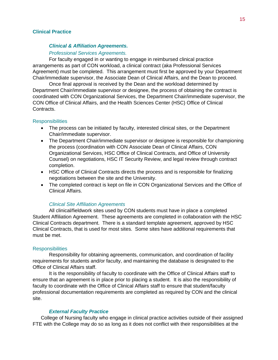# <span id="page-16-0"></span>**Clinical Practice**

# *Clinical & Affiliation Agreements.*

#### *Professional Services Agreements.*

For faculty engaged in or wanting to engage in reimbursed clinical practice arrangements as part of CON workload, a clinical contract (aka Professional Services Agreement) must be completed. This arrangement must first be approved by your Department Chair/immediate supervisor, the Associate Dean of Clinical Affairs, and the Dean to proceed.

Once final approval is received by the Dean and the workload determined by Department Chair/immediate supervisor or designee, the process of obtaining the contract is coordinated with CON Organizational Services, the Department Chair/immediate supervisor, the CON Office of Clinical Affairs, and the Health Sciences Center (HSC) Office of Clinical Contracts.

#### **Responsibilities**

- The process can be initiated by faculty, interested clinical sites, or the Department Chair/immediate supervisor.
- The Department Chair/immediate supervisor or designee is responsible for championing the process (coordination with CON Associate Dean of Clinical Affairs, CON Organizational Services, HSC Office of Clinical Contracts, and Office of University Counsel) on negotiations, HSC IT Security Review, and legal review through contract completion.
- HSC Office of Clinical Contracts directs the process and is responsible for finalizing negotiations between the site and the University.
- The completed contract is kept on file in CON Organizational Services and the Office of Clinical Affairs.

#### *Clinical Site Affiliation Agreements*

All clinical/fieldwork sites used by CON students must have in place a completed Student Affiliation Agreement. These agreements are completed in collaboration with the HSC Clinical Contracts department. There is a standard template agreement, approved by HSC Clinical Contracts, that is used for most sites. Some sites have additional requirements that must be met.

#### **Responsibilities**

Responsibility for obtaining agreements, communication, and coordination of facility requirements for students and/or faculty, and maintaining the database is designated to the Office of Clinical Affairs staff.

It is the responsibility of faculty to coordinate with the Office of Clinical Affairs staff to ensure that an agreement is in place prior to placing a student. It is also the responsibility of faculty to coordinate with the Office of Clinical Affairs staff to ensure that student/faculty professional documentation requirements are completed as required by CON and the clinical site.

# *External Faculty Practice*

College of Nursing faculty who engage in clinical practice activities outside of their assigned FTE with the College may do so as long as it does not conflict with their responsibilities at the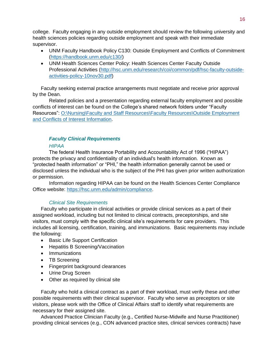college. Faculty engaging in any outside employment should review the following university and health sciences policies regarding outside employment and speak with their immediate supervisor.

- UNM Faculty Handbook Policy C130: Outside Employment and Conflicts of Commitment [\(https://handbook.unm.edu/c130/\)](https://handbook.unm.edu/c130/)
- UNM Health Sciences Center Policy: Health Sciences Center Faculty Outside Professional Activities [\(http://hsc.unm.edu/research/coi/common/pdf/hsc-faculty-outside](http://hsc.unm.edu/research/coi/common/pdf/hsc-faculty-outside-activities-policy-10nov30.pdf)[activities-policy-10nov30.pdf\)](http://hsc.unm.edu/research/coi/common/pdf/hsc-faculty-outside-activities-policy-10nov30.pdf)

Faculty seeking external practice arrangements must negotiate and receive prior approval by the Dean.

Related policies and a presentation regarding external faculty employment and possible conflicts of interest can be found on the College's shared network folders under "Faculty Resources": [O:\Nursing\Faculty and Staff Resources\Faculty Resources\Outside Employment](file://///health.unm.edu/hsc_departments/Nursing/Faculty%20and%20Staff%20Resources/Faculty%20Resources/Outside%20Employment%20and%20Conflicts%20of%20Interest%20Information)  [and Conflicts of Interest Information.](file://///health.unm.edu/hsc_departments/Nursing/Faculty%20and%20Staff%20Resources/Faculty%20Resources/Outside%20Employment%20and%20Conflicts%20of%20Interest%20Information)

# *Faculty Clinical Requirements*

# *HIPAA*

The federal Health Insurance Portability and Accountability Act of 1996 ("HIPAA") protects the privacy and confidentiality of an individual's health information. Known as "protected health information" or "PHI," the health information generally cannot be used or disclosed unless the individual who is the subject of the PHI has given prior written authorization or permission.

Information regarding HIPAA can be found on the Health Sciences Center Compliance Office website: [https://hsc.unm.edu/admin/compliance.](https://hsc.unm.edu/admin/compliance)

# *Clinical Site Requirements*

Faculty who participate in clinical activities or provide clinical services as a part of their assigned workload, including but not limited to clinical contracts, preceptorships, and site visitors, must comply with the specific clinical site's requirements for care providers. This includes all licensing, certification, training, and immunizations. Basic requirements may include the following:

- Basic Life Support Certification
- Hepatitis B Screening/Vaccination
- Immunizations
- TB Screening
- Fingerprint background clearances
- Urine Drug Screen
- Other as required by clinical site

Faculty who hold a clinical contract as a part of their workload, must verify these and other possible requirements with their clinical supervisor. Faculty who serve as preceptors or site visitors, please work with the Office of Clinical Affairs staff to identify what requirements are necessary for their assigned site.

Advanced Practice Clinician Faculty (e.g., Certified Nurse-Midwife and Nurse Practitioner) providing clinical services (e.g., CON advanced practice sites, clinical services contracts) have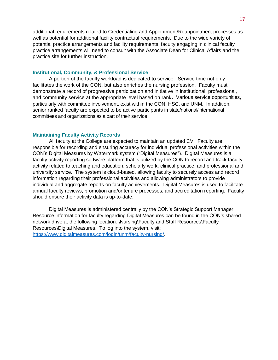additional requirements related to Credentialing and Appointment/Reappointment processes as well as potential for additional facility contractual requirements. Due to the wide variety of potential practice arrangements and facility requirements, faculty engaging in clinical faculty practice arrangements will need to consult with the Associate Dean for Clinical Affairs and the practice site for further instruction.

# <span id="page-18-0"></span>**Institutional, Community, & Professional Service**

A portion of the faculty workload is dedicated to service. Service time not only facilitates the work of the CON, but also enriches the nursing profession. Faculty must demonstrate a record of progressive participation and initiative in institutional, professional, and community service at the appropriate level based on rank**.** Various service opportunities, particularly with committee involvement, exist within the CON, HSC, and UNM. In addition, senior ranked faculty are expected to be active participants in state/national/international committees and organizations as a part of their service.

### <span id="page-18-1"></span>**Maintaining Faculty Activity Records**

All faculty at the College are expected to maintain an updated CV. Faculty are responsible for recording and ensuring accuracy for individual professional activities within the CON's Digital Measures by Watermark system ("Digital Measures"). Digital Measures is a faculty activity reporting software platform that is utilized by the CON to record and track faculty activity related to teaching and education, scholarly work, clinical practice, and professional and university service. The system is cloud-based, allowing faculty to securely access and record information regarding their professional activities and allowing administrators to provide individual and aggregate reports on faculty achievements. Digital Measures is used to facilitate annual faculty reviews, promotion and/or tenure processes, and accreditation reporting. Faculty should ensure their activity data is up-to-date.

Digital Measures is administered centrally by the CON's Strategic Support Manager. Resource information for faculty regarding Digital Measures can be found in the CON's shared network drive at the following location: \Nursing\Faculty and Staff Resources\Faculty Resources\Digital Measures. To log into the system, visit: [https://www.digitalmeasures.com/login/unm/faculty-nursing/.](https://www.digitalmeasures.com/login/unm/faculty-nursing/)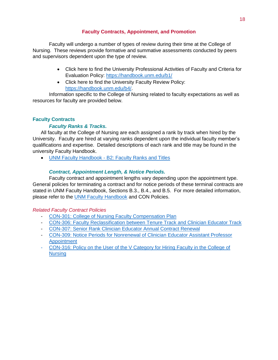# **Faculty Contracts, Appointment, and Promotion**

<span id="page-19-0"></span>Faculty will undergo a number of types of review during their time at the College of Nursing. These reviews provide formative and summative assessments conducted by peers and supervisors dependent upon the type of review.

- Click here to find the University Professional Activities of Faculty and Criteria for Evaluation Policy:<https://handbook.unm.edu/b1/>
- Click here to find the University Faculty Review Policy: [https://handbook.unm.edu/b4/.](https://handbook.unm.edu/b4/)

Information specific to the College of Nursing related to faculty expectations as well as resources for faculty are provided below.

# <span id="page-19-1"></span>**Faculty Contracts**

# *Faculty Ranks & Tracks.*

All faculty at the College of Nursing are each assigned a rank by track when hired by the University. Faculty are hired at varying ranks dependent upon the individual faculty member's qualifications and expertise. Detailed descriptions of each rank and title may be found in the university Faculty Handbook.

UNM Faculty Handbook - [B2: Faculty Ranks and Titles](https://handbook.unm.edu/b2/)

# *Contract, Appointment Length, & Notice Periods.*

Faculty contract and appointment lengths vary depending upon the appointment type. General policies for terminating a contract and for notice periods of these terminal contracts are stated in UNM Faculty Handbook, Sections B.3., B.4., and B.5. For more detailed information, please refer to the [UNM Faculty Handbook](https://handbook.unm.edu/) and CON Policies.

*Related Faculty Contract Policies*

- [CON-301: College of Nursing Faculty Compensation Plan](https://app.box.com/s/92w8htzq7i6s6w5x1vx6eie8hr9wy6s3/file/446259228279)
- [CON-306: Faculty Reclassification between Tenure Track and Clinician Educator Track](https://app.box.com/s/92w8htzq7i6s6w5x1vx6eie8hr9wy6s3/file/277727347757)
- [CON-307: Senior Rank Clinician Educator Annual Contract Renewal](https://app.box.com/s/92w8htzq7i6s6w5x1vx6eie8hr9wy6s3/file/277728635050)
- [CON-309: Notice Periods for Nonrenewal of Clinician Educator Assistant Professor](https://app.box.com/s/92w8htzq7i6s6w5x1vx6eie8hr9wy6s3/file/277728120427)  [Appointment](https://app.box.com/s/92w8htzq7i6s6w5x1vx6eie8hr9wy6s3/file/277728120427)
- CON-316: Policy on the User of the V Category for Hiring Faculty in the College of **[Nursing](https://app.box.com/s/92w8htzq7i6s6w5x1vx6eie8hr9wy6s3/file/519157587820)**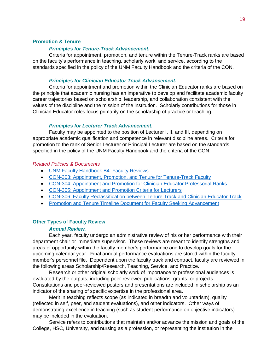# <span id="page-20-0"></span>**Promotion & Tenure**

### *Principles for Tenure-Track Advancement.*

Criteria for appointment, promotion, and tenure within the Tenure-Track ranks are based on the faculty's performance in teaching, scholarly work, and service, according to the standards specified in the policy of the UNM Faculty Handbook and the criteria of the CON.

# *Principles for Clinician Educator Track Advancement.*

Criteria for appointment and promotion within the Clinician Educator ranks are based on the principle that academic nursing has an imperative to develop and facilitate academic faculty career trajectories based on scholarship, leadership, and collaboration consistent with the values of the discipline and the mission of the institution. Scholarly contributions for those in Clinician Educator roles focus primarily on the scholarship of practice or teaching.

# *Principles for Lecturer Track Advancement.*

Faculty may be appointed to the position of Lecturer I, II, and III, depending on appropriate academic qualification and competence in relevant discipline areas. Criteria for promotion to the rank of Senior Lecturer or Principal Lecturer are based on the standards specified in the policy of the UNM Faculty Handbook and the criteria of the CON.

### *Related Policies & Documents*

- [UNM Faculty Handbook B4: Faculty Reviews](https://handbook.unm.edu/b4/)
- [CON-303: Appointment, Promotion, and Tenure for Tenure-Track Faculty](https://app.box.com/s/92w8htzq7i6s6w5x1vx6eie8hr9wy6s3/file/277727558756)
- [CON-304: Appointment and Promotion for Clinician Educator Professorial Ranks](https://app.box.com/s/92w8htzq7i6s6w5x1vx6eie8hr9wy6s3/file/277729971238)
- [CON-305: Appointment and Promotion Criteria for Lecturers](https://app.box.com/s/92w8htzq7i6s6w5x1vx6eie8hr9wy6s3/file/277729479524)
- [CON-306: Faculty Reclassification between Tenure Track and Clinician Educator Track](https://app.box.com/s/92w8htzq7i6s6w5x1vx6eie8hr9wy6s3/file/277727347757)
- [Promotion and Tenure Timeline Document for Faculty Seeking Advancement](file://///health.unm.edu/hsc_departments/Nursing/College%20Business/Committees,%20Councils,%20Org%20Meetings,%20and%20Ad%20Hoc%20Workgroups/Faculty%20Affairs/For%20Faculty%20Considering%20Promotion)

#### <span id="page-20-1"></span>**Other Types of Faculty Review**

# *Annual Review.*

Each year, faculty undergo an administrative review of his or her performance with their department chair or immediate supervisor. These reviews are meant to identify strengths and areas of opportunity within the faculty member's performance and to develop goals for the upcoming calendar year. Final annual performance evaluations are stored within the faculty member's personnel file. Dependent upon the faculty track and contract, faculty are reviewed in the following areas Scholarship/Research, Teaching, Service, and Practice.

Research or other original scholarly work of importance to professional audiences is evaluated by the outputs, including peer-reviewed publications, grants, or projects. Consultations and peer-reviewed posters and presentations are included in scholarship as an indicator of the sharing of specific expertise in the professional area.

Merit in teaching reflects scope (as indicated in breadth and voluntarism), quality (reflected in self, peer, and student evaluations), and other indicators. Other ways of demonstrating excellence in teaching (such as student performance on objective indicators) may be included in the evaluation.

Service refers to contributions that maintain and/or advance the mission and goals of the College, HSC, University, and nursing as a profession, or representing the institution in the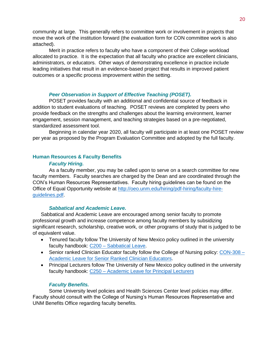community at large. This generally refers to committee work or involvement in projects that move the work of the institution forward (the evaluation form for CON committee work is also attached).

Merit in practice refers to faculty who have a component of their College workload allocated to practice. It is the expectation that all faculty who practice are excellent clinicians, administrators, or educators. Other ways of demonstrating excellence in practice include leading initiatives that result in an evidence-based project that results in improved patient outcomes or a specific process improvement within the setting.

# *Peer Observation in Support of Effective Teaching (POSET).*

POSET provides faculty with an additional and confidential source of feedback in addition to student evaluations of teaching. POSET reviews are completed by peers who provide feedback on the strengths and challenges about the learning environment, learner engagement, session management, and teaching strategies based on a pre-negotiated, standardized assessment tool.

Beginning in calendar year 2020, all faculty will participate in at least one POSET review per year as proposed by the Program Evaluation Committee and adopted by the full faculty.

# <span id="page-21-0"></span>**Human Resources & Faculty Benefits**

# *Faculty Hiring.*

As a faculty member, you may be called upon to serve on a search committee for new faculty members. Faculty searches are charged by the Dean and are coordinated through the CON's Human Resources Representatives. Faculty hiring guidelines can be found on the Office of Equal Opportunity website at [http://oeo.unm.edu/hiring/pdf-hiring/faculty-hire](http://oeo.unm.edu/hiring/pdf-hiring/faculty-hire-guidelines.pdf)[guidelines.pdf.](http://oeo.unm.edu/hiring/pdf-hiring/faculty-hire-guidelines.pdf)

# *Sabbatical and Academic Leave.*

Sabbatical and Academic Leave are encouraged among senior faculty to promote professional growth and increase competence among faculty members by subsidizing significant research, scholarship, creative work, or other programs of study that is judged to be of equivalent value.

- Tenured faculty follow The University of New Mexico policy outlined in the university faculty handbook: C200 – [Sabbatical Leave.](https://handbook.unm.edu/c200/)
- Senior ranked Clinician Educator faculty follow the College of Nursing policy: [CON-308 –](https://app.box.com/s/92w8htzq7i6s6w5x1vx6eie8hr9wy6s3/file/446258569905) [Academic Leave for Senior Ranked Clinician Educators.](https://app.box.com/s/92w8htzq7i6s6w5x1vx6eie8hr9wy6s3/file/446258569905)
- Principal Lecturers follow The University of New Mexico policy outlined in the university faculty handbook: C250 – [Academic Leave for Principal Lecturers](https://handbook.unm.edu/c250/)

# *Faculty Benefits.*

Some University level policies and Health Sciences Center level policies may differ. Faculty should consult with the College of Nursing's Human Resources Representative and UNM Benefits Office regarding faculty benefits.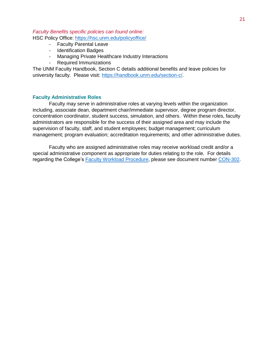# *Faculty Benefits specific policies can found online:*

HSC Policy Office: <https://hsc.unm.edu/policyoffice/>

- Faculty Parental Leave
- Identification Badges
- Managing Private Healthcare Industry Interactions
- Required Immunizations

The UNM Faculty Handbook, Section C details additional benefits and leave policies for university faculty. Please visit: [https://handbook.unm.edu/section-c/.](https://handbook.unm.edu/section-c/)

# <span id="page-22-0"></span>**Faculty Administrative Roles**

Faculty may serve in administrative roles at varying levels within the organization including, associate dean, department chair/immediate supervisor, degree program director, concentration coordinator, student success, simulation, and others. Within these roles, faculty administrators are responsible for the success of their assigned area and may include the supervision of faculty, staff, and student employees; budget management; curriculum management; program evaluation; accreditation requirements; and other administrative duties.

Faculty who are assigned administrative roles may receive workload credit and/or a special administrative component as appropriate for duties relating to the role. For details regarding the College's [Faculty Workload Procedure,](https://app.box.com/s/92w8htzq7i6s6w5x1vx6eie8hr9wy6s3/file/277741003753) please see document number [CON-302.](https://app.box.com/s/92w8htzq7i6s6w5x1vx6eie8hr9wy6s3/file/277741003753)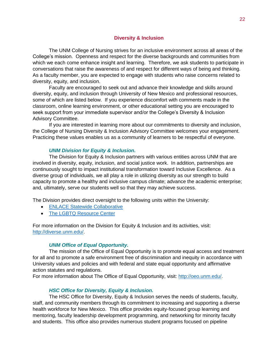# **Diversity & Inclusion**

<span id="page-23-0"></span>The UNM College of Nursing strives for an inclusive environment across all areas of the College's mission. Openness and respect for the diverse backgrounds and communities from which we each come enhance insight and learning. Therefore, we ask students to participate in conversations that raise the awareness of and respect for different ways of being and thinking. As a faculty member, you are expected to engage with students who raise concerns related to diversity, equity, and inclusion.

Faculty are encouraged to seek out and advance their knowledge and skills around diversity, equity, and inclusion through University of New Mexico and professional resources, some of which are listed below. If you experience discomfort with comments made in the classroom, online learning environment, or other educational setting you are encouraged to seek support from your immediate supervisor and/or the College's Diversity & Inclusion Advisory Committee.

If you are interested in learning more about our commitments to diversity and inclusion, the College of Nursing Diversity & Inclusion Advisory Committee welcomes your engagement. Practicing these values enables us as a community of learners to be respectful of everyone.

### *UNM Division for Equity & Inclusion.*

The Division for Equity & Inclusion partners with various entities across UNM that are involved in diversity, equity, inclusion, and social justice work. In addition, partnerships are continuously sought to impact institutional transformation toward Inclusive Excellence. As a diverse group of individuals, we all play a role in utilizing diversity as our strength to build capacity to promote a healthy and inclusive campus climate; advance the academic enterprise; and, ultimately, serve our students well so that they may achieve success.

The Division provides direct oversight to the following units within the University:

- [ENLACE Statewide Collaborative](http://enlacenm.unm.edu/)
- [The LGBTQ Resource Center](http://lgbtqrc.unm.edu/)

For more information on the Division for Equity & Inclusion and its activities, visit: [http://diverse.unm.edu/.](http://diverse.unm.edu/)

# *UNM Office of Equal Opportunity.*

The mission of the Office of Equal Opportunity is to promote equal access and treatment for all and to promote a safe environment free of discrimination and inequity in accordance with University values and policies and with federal and state equal opportunity and affirmative action statutes and regulations.

For more information about The Office of Equal Opportunity, visit: [http://oeo.unm.edu/.](http://oeo.unm.edu/)

# *HSC Office for Diversity, Equity & Inclusion.*

The HSC Office for Diversity, Equity & Inclusion serves the needs of students, faculty, staff, and community members through its commitment to increasing and supporting a diverse health workforce for New Mexico. This office provides equity-focused group learning and mentoring, faculty leadership development programming, and networking for minority faculty and students. This office also provides numerous student programs focused on pipeline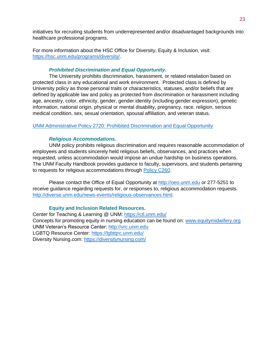initiatives for recruiting students from underrepresented and/or disadvantaged backgrounds into healthcare professional programs.

For more information about the HSC Office for Diversity, Equity & Inclusion, visit: [https://hsc.unm.edu/programs/diversity/.](https://hsc.unm.edu/programs/diversity/)

# *Prohibited Discrimination and Equal Opportunity.*

The University prohibits discrimination, harassment, or related retaliation based on protected class in any educational and work environment. Protected class is defined by University policy as those personal traits or characteristics, statuses, and/or beliefs that are defined by applicable law and policy as protected from discrimination or harassment including age, ancestry, color, ethnicity, gender, gender identity (including gender expression), genetic information, national origin, physical or mental disability, pregnancy, race, religion, serious medical condition, sex, sexual orientation, spousal affiliation, and veteran status.

# [UNM Administrative Policy 2720: Prohibited Discrimination and Equal Opportunity](http://policy.unm.edu/university-policies/2000/2720.html)

# *Religious Accommodations.*

UNM policy prohibits religious discrimination and requires reasonable accommodation of employees and students sincerely held religious beliefs, observances, and practices when requested, unless accommodation would impose an undue hardship on business operations. The UNM Faculty Handbook provides guidance to faculty, supervisors, and students pertaining to requests for religious accommodations through [Policy C260.](https://handbook.unm.edu/c260/)

Please contact the Office of Equal Opportunity at [http://oeo.unm.edu](http://oeo.unm.edu/) or 277-5251 to receive guidance regarding requests for, or responses to, religious accommodation requests. [http://diverse.unm.edu/news-events/religious-observances.html.](http://diverse.unm.edu/news-events/religious-observances.html)

# **Equity and Inclusion Related Resources.**

<span id="page-24-0"></span>Center for Teaching & Learning @ UNM:<https://ctl.unm.edu/> Concepts for promoting equity in nursing education can be found on: [www.equitymidwifery.org](http://www.equitymidwifery.org/) UNM Veteran's Resource Center: [http://vrc.unm.edu](http://vrc.unm.edu/)  LGBTQ Resource Center:<https://lgbtqrc.unm.edu/> Diversity Nursing.com:<https://diversitynursing.com/>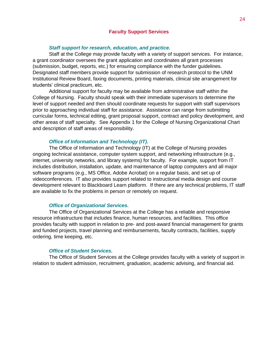# **Faculty Support Services**

# *Staff support for research, education, and practice.*

<span id="page-25-0"></span>Staff at the College may provide faculty with a variety of support services. For instance, a grant coordinator oversees the grant application and coordinates all grant processes (submission, budget, reports, etc.) for ensuring compliance with the funder guidelines. Designated staff members provide support for submission of research protocol to the UNM Institutional Review Board, faxing documents, printing materials, clinical site arrangement for students' clinical practicum, etc.

Additional support for faculty may be available from administrative staff within the College of Nursing. Faculty should speak with their immediate supervisors to determine the level of support needed and then should coordinate requests for support with staff supervisors prior to approaching individual staff for assistance. Assistance can range from submitting curricular forms, technical editing, grant proposal support, contract and policy development, and other areas of staff specialty. See Appendix 1 for the College of Nursing Organizational Chart and description of staff areas of responsibility.

#### *Office of Information and Technology (IT).*

The Office of Information and Technology (IT) at the College of Nursing provides ongoing technical assistance, computer system support, and networking infrastructure (e.g., internet, university networks, and library systems) for faculty. For example, support from IT includes distribution, installation, update, and maintenance of laptop computers and all major software programs (e.g., MS Office, Adobe Acrobat) on a regular basis, and set up of videoconferences. IT also provides support related to instructional media design and course development relevant to Blackboard Learn platform. If there are any technical problems, IT staff are available to fix the problems in person or remotely on request.

## *Office of Organizational Services.*

The Office of Organizational Services at the College has a reliable and responsive resource infrastructure that includes finance, human resources, and facilities. This office provides faculty with support in relation to pre- and post-award financial management for grants and funded projects, travel planning and reimbursements, faculty contracts, facilities, supply ordering, time keeping, etc.

## *Office of Student Services.*

The Office of Student Services at the College provides faculty with a variety of support in relation to student admission, recruitment, graduation, academic advising, and financial aid.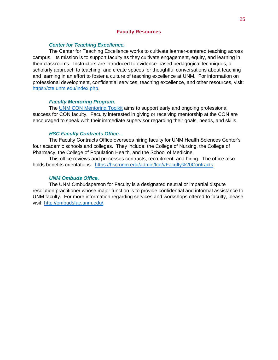# **Faculty Resources**

# *Center for Teaching Excellence.*

<span id="page-26-0"></span>The Center for Teaching Excellence works to cultivate learner-centered teaching across campus. Its mission is to support faculty as they cultivate engagement, equity, and learning in their classrooms. Instructors are introduced to evidence-based pedagogical techniques, a scholarly approach to teaching, and create spaces for thoughtful conversations about teaching and learning in an effort to foster a culture of teaching excellence at UNM. For information on professional development, confidential services, teaching excellence, and other resources, visit: [https://cte.unm.edu/index.php.](https://cte.unm.edu/index.php)

### *Faculty Mentoring Program.*

The [UNM CON Mentoring Toolkit](file://///health.unm.edu/hsc_departments/Nursing/Faculty%20and%20Staff%20Resources/Faculty%20Resources/Mentor%20Toolkit%20CON%207%2013final_1.docx) aims to support early and ongoing professional success for CON faculty. Faculty interested in giving or receiving mentorship at the CON are encouraged to speak with their immediate supervisor regarding their goals, needs, and skills.

### *HSC Faculty Contracts Office.*

The Faculty Contracts Office oversees hiring faculty for UNM Health Sciences Center's four academic schools and colleges. They include: the College of Nursing, the College of Pharmacy, the College of Population Health, and the School of Medicine.

This office reviews and processes contracts, recruitment, and hiring. The office also holds benefits orientations. <https://hsc.unm.edu/admin/fco/#Faculty%20Contracts>

# *UNM Ombuds Office.*

The UNM Ombudsperson for Faculty is a designated neutral or impartial dispute resolution practitioner whose major function is to provide confidential and informal assistance to UNM faculty. For more information regarding services and workshops offered to faculty, please visit: [http://ombudsfac.unm.edu/.](http://ombudsfac.unm.edu/)